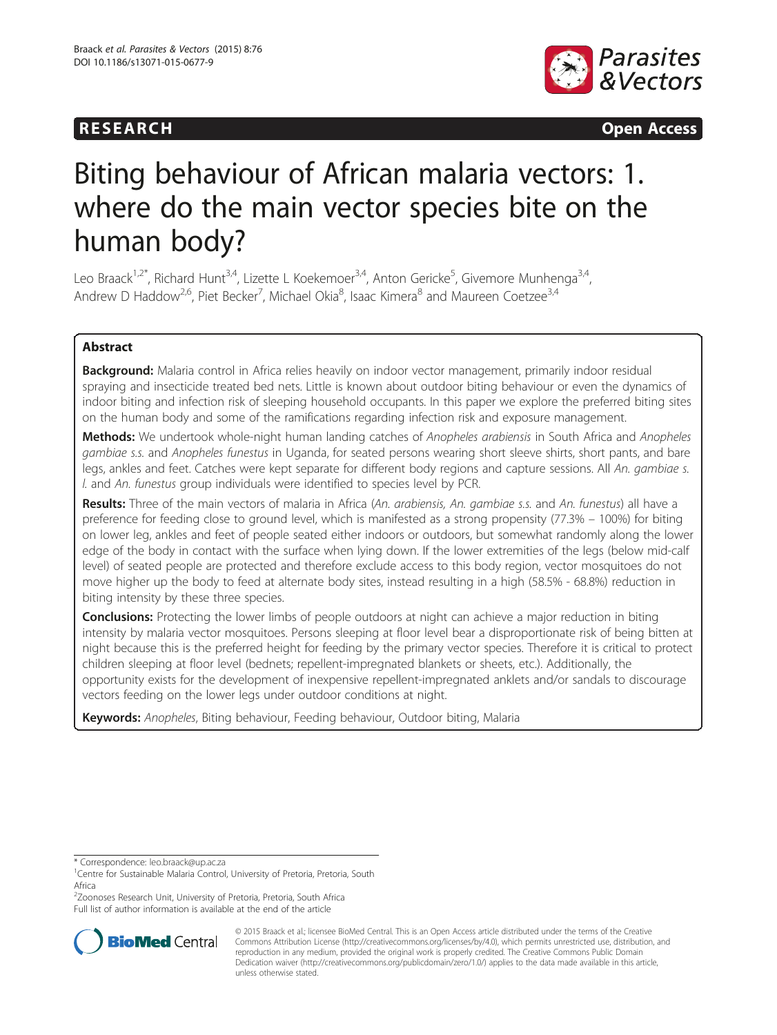# **RESEARCH RESEARCH CONSUMING ACCESS**



# Biting behaviour of African malaria vectors: 1. where do the main vector species bite on the human body?

Leo Braack<sup>1,2\*</sup>, Richard Hunt<sup>3,4</sup>, Lizette L Koekemoer<sup>3,4</sup>, Anton Gericke<sup>5</sup>, Givemore Munhenga<sup>3,4</sup>, Andrew D Haddow<sup>2,6</sup>, Piet Becker<sup>7</sup>, Michael Okia<sup>8</sup>, Isaac Kimera<sup>8</sup> and Maureen Coetzee<sup>3,4</sup>

# Abstract

Background: Malaria control in Africa relies heavily on indoor vector management, primarily indoor residual spraying and insecticide treated bed nets. Little is known about outdoor biting behaviour or even the dynamics of indoor biting and infection risk of sleeping household occupants. In this paper we explore the preferred biting sites on the human body and some of the ramifications regarding infection risk and exposure management.

Methods: We undertook whole-night human landing catches of Anopheles arabiensis in South Africa and Anopheles gambiae s.s. and Anopheles funestus in Uganda, for seated persons wearing short sleeve shirts, short pants, and bare legs, ankles and feet. Catches were kept separate for different body regions and capture sessions. All An. gambiae s. l. and An. funestus group individuals were identified to species level by PCR.

Results: Three of the main vectors of malaria in Africa (An. arabiensis, An. gambiae s.s. and An. funestus) all have a preference for feeding close to ground level, which is manifested as a strong propensity (77.3% – 100%) for biting on lower leg, ankles and feet of people seated either indoors or outdoors, but somewhat randomly along the lower edge of the body in contact with the surface when lying down. If the lower extremities of the legs (below mid-calf level) of seated people are protected and therefore exclude access to this body region, vector mosquitoes do not move higher up the body to feed at alternate body sites, instead resulting in a high (58.5% - 68.8%) reduction in biting intensity by these three species.

**Conclusions:** Protecting the lower limbs of people outdoors at night can achieve a major reduction in biting intensity by malaria vector mosquitoes. Persons sleeping at floor level bear a disproportionate risk of being bitten at night because this is the preferred height for feeding by the primary vector species. Therefore it is critical to protect children sleeping at floor level (bednets; repellent-impregnated blankets or sheets, etc.). Additionally, the opportunity exists for the development of inexpensive repellent-impregnated anklets and/or sandals to discourage vectors feeding on the lower legs under outdoor conditions at night.

Keywords: Anopheles, Biting behaviour, Feeding behaviour, Outdoor biting, Malaria

\* Correspondence: [leo.braack@up.ac.za](mailto:leo.braack@up.ac.za) <sup>1</sup>

<sup>&</sup>lt;sup>2</sup> Zoonoses Research Unit, University of Pretoria, Pretoria, South Africa Full list of author information is available at the end of the article



© 2015 Braack et al.; licensee BioMed Central. This is an Open Access article distributed under the terms of the Creative Commons Attribution License [\(http://creativecommons.org/licenses/by/4.0\)](http://creativecommons.org/licenses/by/4.0), which permits unrestricted use, distribution, and reproduction in any medium, provided the original work is properly credited. The Creative Commons Public Domain Dedication waiver [\(http://creativecommons.org/publicdomain/zero/1.0/](http://creativecommons.org/publicdomain/zero/1.0/)) applies to the data made available in this article, unless otherwise stated.

<sup>&</sup>lt;sup>1</sup> Centre for Sustainable Malaria Control, University of Pretoria, Pretoria, South Africa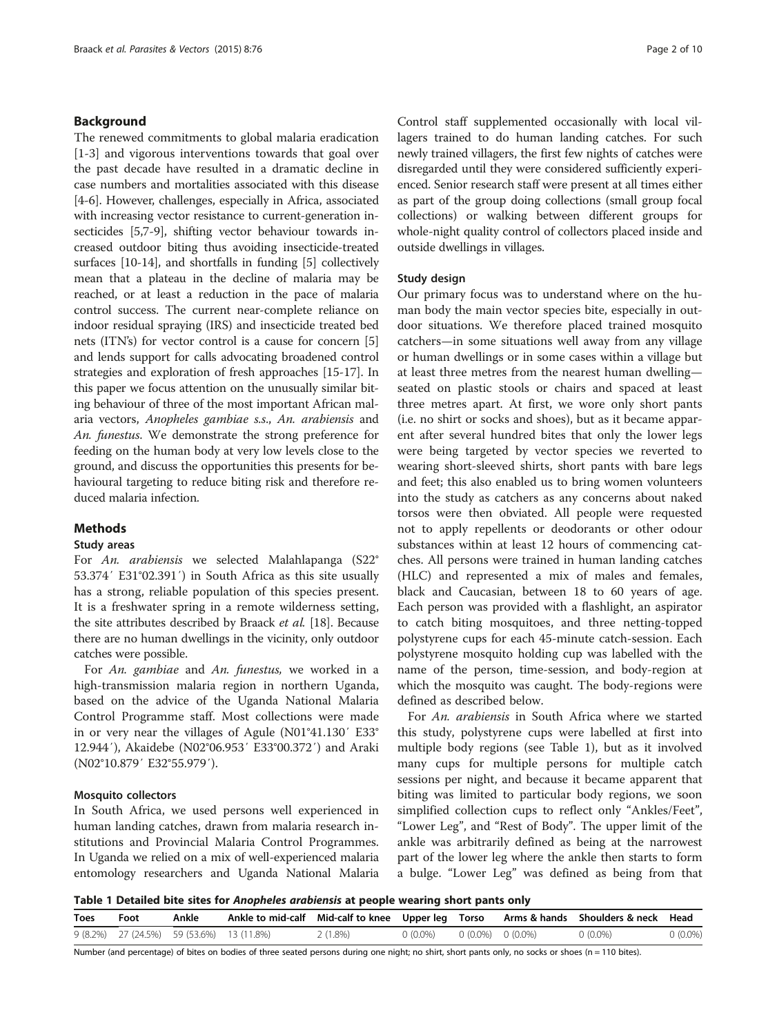#### <span id="page-1-0"></span>Background

The renewed commitments to global malaria eradication [[1-3](#page-8-0)] and vigorous interventions towards that goal over the past decade have resulted in a dramatic decline in case numbers and mortalities associated with this disease [[4-6\]](#page-8-0). However, challenges, especially in Africa, associated with increasing vector resistance to current-generation insecticides [[5,7-9\]](#page-8-0), shifting vector behaviour towards increased outdoor biting thus avoiding insecticide-treated surfaces [\[10](#page-8-0)-[14](#page-8-0)], and shortfalls in funding [[5\]](#page-8-0) collectively mean that a plateau in the decline of malaria may be reached, or at least a reduction in the pace of malaria control success. The current near-complete reliance on indoor residual spraying (IRS) and insecticide treated bed nets (ITN's) for vector control is a cause for concern [[5](#page-8-0)] and lends support for calls advocating broadened control strategies and exploration of fresh approaches [[15](#page-8-0)-[17](#page-8-0)]. In this paper we focus attention on the unusually similar biting behaviour of three of the most important African malaria vectors, Anopheles gambiae s.s., An. arabiensis and An. funestus. We demonstrate the strong preference for feeding on the human body at very low levels close to the ground, and discuss the opportunities this presents for behavioural targeting to reduce biting risk and therefore reduced malaria infection.

# Methods

# Study areas

For An. arabiensis we selected Malahlapanga (S22° 53.374′ E31°02.391′) in South Africa as this site usually has a strong, reliable population of this species present. It is a freshwater spring in a remote wilderness setting, the site attributes described by Braack et al. [[18](#page-8-0)]. Because there are no human dwellings in the vicinity, only outdoor catches were possible.

For An. gambiae and An. funestus, we worked in a high-transmission malaria region in northern Uganda, based on the advice of the Uganda National Malaria Control Programme staff. Most collections were made in or very near the villages of Agule (N01°41.130′ E33° 12.944′), Akaidebe (N02°06.953′ E33°00.372′) and Araki (N02°10.879′ E32°55.979′).

#### Mosquito collectors

In South Africa, we used persons well experienced in human landing catches, drawn from malaria research institutions and Provincial Malaria Control Programmes. In Uganda we relied on a mix of well-experienced malaria entomology researchers and Uganda National Malaria

Control staff supplemented occasionally with local villagers trained to do human landing catches. For such newly trained villagers, the first few nights of catches were disregarded until they were considered sufficiently experienced. Senior research staff were present at all times either as part of the group doing collections (small group focal collections) or walking between different groups for whole-night quality control of collectors placed inside and outside dwellings in villages.

#### Study design

Our primary focus was to understand where on the human body the main vector species bite, especially in outdoor situations. We therefore placed trained mosquito catchers—in some situations well away from any village or human dwellings or in some cases within a village but at least three metres from the nearest human dwelling seated on plastic stools or chairs and spaced at least three metres apart. At first, we wore only short pants (i.e. no shirt or socks and shoes), but as it became apparent after several hundred bites that only the lower legs were being targeted by vector species we reverted to wearing short-sleeved shirts, short pants with bare legs and feet; this also enabled us to bring women volunteers into the study as catchers as any concerns about naked torsos were then obviated. All people were requested not to apply repellents or deodorants or other odour substances within at least 12 hours of commencing catches. All persons were trained in human landing catches (HLC) and represented a mix of males and females, black and Caucasian, between 18 to 60 years of age. Each person was provided with a flashlight, an aspirator to catch biting mosquitoes, and three netting-topped polystyrene cups for each 45-minute catch-session. Each polystyrene mosquito holding cup was labelled with the name of the person, time-session, and body-region at which the mosquito was caught. The body-regions were defined as described below.

For An. arabiensis in South Africa where we started this study, polystyrene cups were labelled at first into multiple body regions (see Table 1), but as it involved many cups for multiple persons for multiple catch sessions per night, and because it became apparent that biting was limited to particular body regions, we soon simplified collection cups to reflect only "Ankles/Feet", "Lower Leg", and "Rest of Body". The upper limit of the ankle was arbitrarily defined as being at the narrowest part of the lower leg where the ankle then starts to form a bulge. "Lower Leg" was defined as being from that

Table 1 Detailed bite sites for Anopheles arabiensis at people wearing short pants only

| <b>Toes</b> | Foot | Ankle                                     | Ankle to mid-calf Mid-calf to knee Upper leg Torso |          |            |                        | Arms & hands Shoulders & neck Head |           |
|-------------|------|-------------------------------------------|----------------------------------------------------|----------|------------|------------------------|------------------------------------|-----------|
|             |      | 9 (8.2%) 27 (24.5%) 59 (53.6%) 13 (11.8%) |                                                    | 2 (1.8%) | $0(0.0\%)$ | $0(0.0\%)$ 0 $(0.0\%)$ | $0(0.0\%)$                         | $(0.0\%)$ |

Number (and percentage) of bites on bodies of three seated persons during one night; no shirt, short pants only, no socks or shoes (n = 110 bites).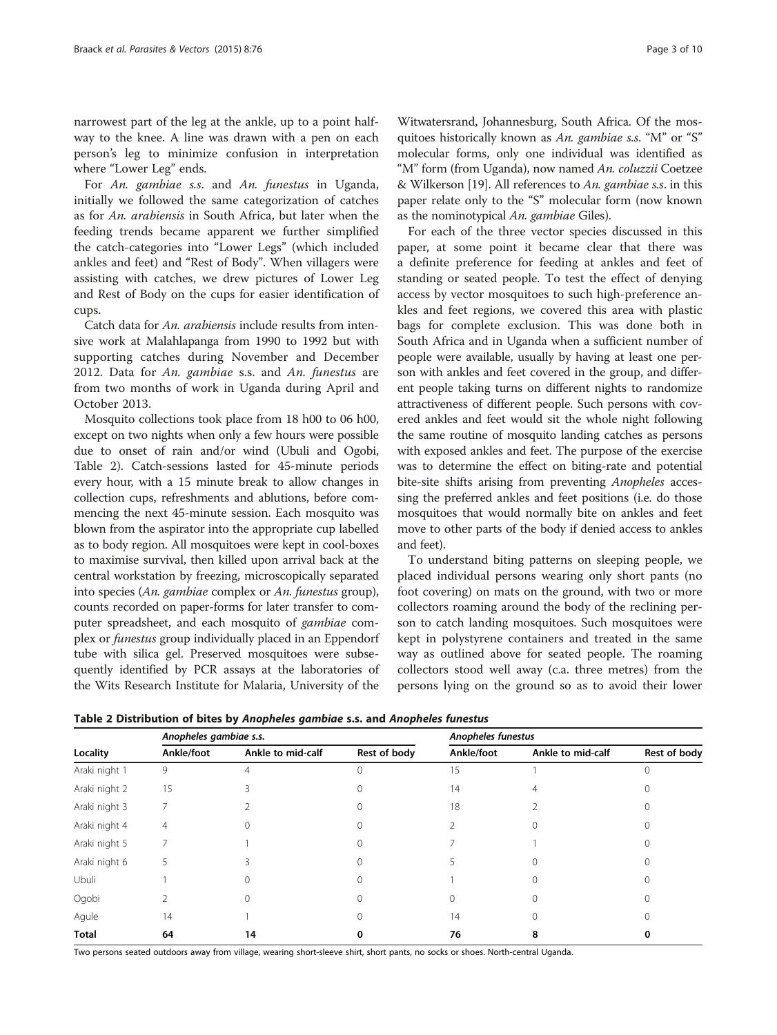<span id="page-2-0"></span>narrowest part of the leg at the ankle, up to a point halfway to the knee. A line was drawn with a pen on each person's leg to minimize confusion in interpretation where "Lower Leg" ends.

For An. gambiae s.s. and An. funestus in Uganda, initially we followed the same categorization of catches as for An. arabiensis in South Africa, but later when the feeding trends became apparent we further simplified the catch-categories into "Lower Legs" (which included ankles and feet) and "Rest of Body". When villagers were assisting with catches, we drew pictures of Lower Leg and Rest of Body on the cups for easier identification of cups.

Catch data for An. arabiensis include results from intensive work at Malahlapanga from 1990 to 1992 but with supporting catches during November and December 2012. Data for An. gambiae s.s. and An. funestus are from two months of work in Uganda during April and October 2013.

Mosquito collections took place from 18 h00 to 06 h00, except on two nights when only a few hours were possible due to onset of rain and/or wind (Ubuli and Ogobi, Table 2). Catch-sessions lasted for 45-minute periods every hour, with a 15 minute break to allow changes in collection cups, refreshments and ablutions, before commencing the next 45-minute session. Each mosquito was blown from the aspirator into the appropriate cup labelled as to body region. All mosquitoes were kept in cool-boxes to maximise survival, then killed upon arrival back at the central workstation by freezing, microscopically separated into species (An. gambiae complex or An. funestus group), counts recorded on paper-forms for later transfer to computer spreadsheet, and each mosquito of gambiae complex or funestus group individually placed in an Eppendorf tube with silica gel. Preserved mosquitoes were subsequently identified by PCR assays at the laboratories of the Wits Research Institute for Malaria, University of the Witwatersrand, Johannesburg, South Africa. Of the mosquitoes historically known as An. gambiae s.s. "M" or "S" molecular forms, only one individual was identified as "M" form (from Uganda), now named An. coluzzii Coetzee & Wilkerson [[19](#page-8-0)]. All references to An. gambiae s.s. in this paper relate only to the "S" molecular form (now known as the nominotypical An. gambiae Giles).

For each of the three vector species discussed in this paper, at some point it became clear that there was a definite preference for feeding at ankles and feet of standing or seated people. To test the effect of denying access by vector mosquitoes to such high-preference ankles and feet regions, we covered this area with plastic bags for complete exclusion. This was done both in South Africa and in Uganda when a sufficient number of people were available, usually by having at least one person with ankles and feet covered in the group, and different people taking turns on different nights to randomize attractiveness of different people. Such persons with covered ankles and feet would sit the whole night following the same routine of mosquito landing catches as persons with exposed ankles and feet. The purpose of the exercise was to determine the effect on biting-rate and potential bite-site shifts arising from preventing Anopheles accessing the preferred ankles and feet positions (i.e. do those mosquitoes that would normally bite on ankles and feet move to other parts of the body if denied access to ankles and feet).

To understand biting patterns on sleeping people, we placed individual persons wearing only short pants (no foot covering) on mats on the ground, with two or more collectors roaming around the body of the reclining person to catch landing mosquitoes. Such mosquitoes were kept in polystyrene containers and treated in the same way as outlined above for seated people. The roaming collectors stood well away (c.a. three metres) from the persons lying on the ground so as to avoid their lower

Table 2 Distribution of bites by Anopheles gambiae s.s. and Anopheles funestus

|               | Anopheles gambiae s.s. |                   |              | Anopheles funestus |                   |              |
|---------------|------------------------|-------------------|--------------|--------------------|-------------------|--------------|
| Locality      | Ankle/foot             | Ankle to mid-calf | Rest of body | Ankle/foot         | Ankle to mid-calf | Rest of body |
| Araki night 1 | 9                      |                   | 0            | 15                 |                   | 0            |
| Araki night 2 | 15                     |                   |              | 14                 |                   |              |
| Araki night 3 |                        |                   |              | 18                 |                   |              |
| Araki night 4 | 4                      |                   |              |                    |                   |              |
| Araki night 5 |                        |                   |              |                    |                   |              |
| Araki night 6 |                        |                   |              |                    |                   |              |
| Ubuli         |                        |                   |              |                    |                   |              |
| Ogobi         |                        |                   |              |                    |                   |              |
| Agule         | 14                     |                   |              | 14                 |                   |              |
| <b>Total</b>  | 64                     | 14                |              | 76                 |                   |              |

Two persons seated outdoors away from village, wearing short-sleeve shirt, short pants, no socks or shoes. North-central Uganda.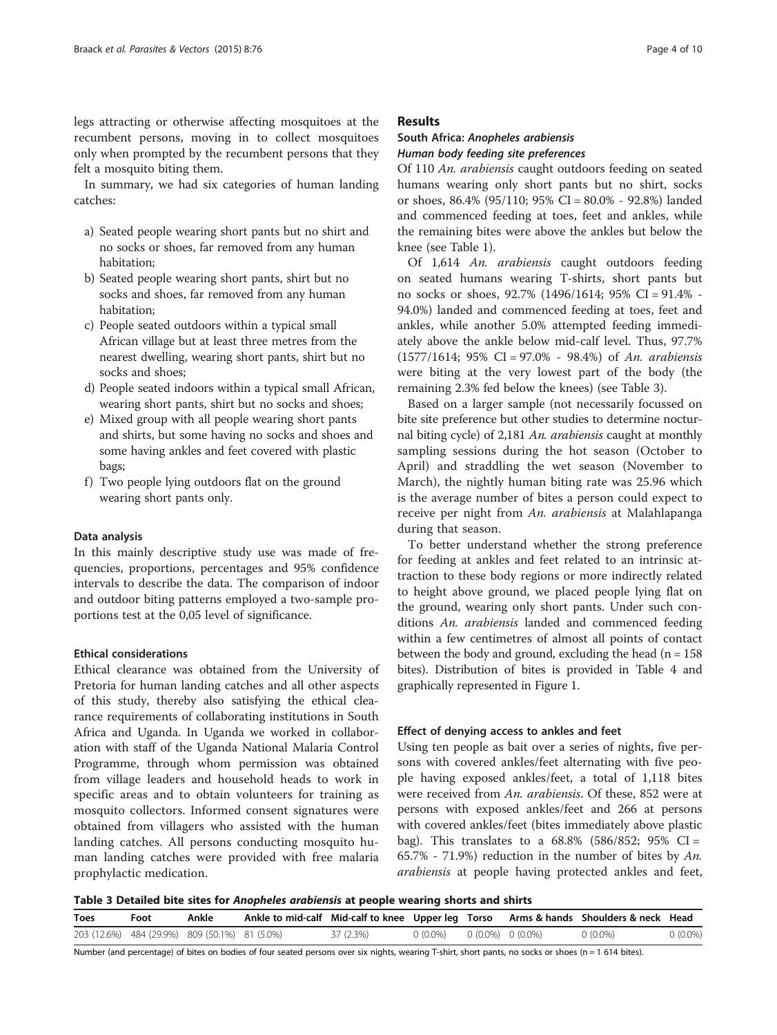legs attracting or otherwise affecting mosquitoes at the recumbent persons, moving in to collect mosquitoes only when prompted by the recumbent persons that they felt a mosquito biting them.

In summary, we had six categories of human landing catches:

- a) Seated people wearing short pants but no shirt and no socks or shoes, far removed from any human habitation;
- b) Seated people wearing short pants, shirt but no socks and shoes, far removed from any human habitation;
- c) People seated outdoors within a typical small African village but at least three metres from the nearest dwelling, wearing short pants, shirt but no socks and shoes;
- d) People seated indoors within a typical small African, wearing short pants, shirt but no socks and shoes;
- e) Mixed group with all people wearing short pants and shirts, but some having no socks and shoes and some having ankles and feet covered with plastic bags;
- f) Two people lying outdoors flat on the ground wearing short pants only.

#### Data analysis

In this mainly descriptive study use was made of frequencies, proportions, percentages and 95% confidence intervals to describe the data. The comparison of indoor and outdoor biting patterns employed a two-sample proportions test at the 0,05 level of significance.

### Ethical considerations

Ethical clearance was obtained from the University of Pretoria for human landing catches and all other aspects of this study, thereby also satisfying the ethical clearance requirements of collaborating institutions in South Africa and Uganda. In Uganda we worked in collaboration with staff of the Uganda National Malaria Control Programme, through whom permission was obtained from village leaders and household heads to work in specific areas and to obtain volunteers for training as mosquito collectors. Informed consent signatures were obtained from villagers who assisted with the human landing catches. All persons conducting mosquito human landing catches were provided with free malaria prophylactic medication.

## Results

# South Africa: Anopheles arabiensis Human body feeding site preferences

# Of 110 An. arabiensis caught outdoors feeding on seated humans wearing only short pants but no shirt, socks or shoes, 86.4% (95/110; 95% CI = 80.0% - 92.8%) landed and commenced feeding at toes, feet and ankles, while

the remaining bites were above the ankles but below the

knee (see Table [1\)](#page-1-0). Of 1,614 An. arabiensis caught outdoors feeding on seated humans wearing T-shirts, short pants but no socks or shoes, 92.7% (1496/1614; 95% CI = 91.4% - 94.0%) landed and commenced feeding at toes, feet and ankles, while another 5.0% attempted feeding immediately above the ankle below mid-calf level. Thus, 97.7%  $(1577/1614; 95\% \text{ CI} = 97.0\% - 98.4\%) \text{ of } An.$  arabiensis were biting at the very lowest part of the body (the remaining 2.3% fed below the knees) (see Table 3).

Based on a larger sample (not necessarily focussed on bite site preference but other studies to determine nocturnal biting cycle) of 2,181 An. arabiensis caught at monthly sampling sessions during the hot season (October to April) and straddling the wet season (November to March), the nightly human biting rate was 25.96 which is the average number of bites a person could expect to receive per night from An. arabiensis at Malahlapanga during that season.

To better understand whether the strong preference for feeding at ankles and feet related to an intrinsic attraction to these body regions or more indirectly related to height above ground, we placed people lying flat on the ground, wearing only short pants. Under such conditions An. arabiensis landed and commenced feeding within a few centimetres of almost all points of contact between the body and ground, excluding the head ( $n = 158$ ) bites). Distribution of bites is provided in Table [4](#page-4-0) and graphically represented in Figure [1](#page-4-0).

#### Effect of denying access to ankles and feet

Using ten people as bait over a series of nights, five persons with covered ankles/feet alternating with five people having exposed ankles/feet, a total of 1,118 bites were received from An. arabiensis. Of these, 852 were at persons with exposed ankles/feet and 266 at persons with covered ankles/feet (bites immediately above plastic bag). This translates to a  $68.8\%$  (586/852; 95% CI = 65.7% - 71.9%) reduction in the number of bites by An. arabiensis at people having protected ankles and feet,

Table 3 Detailed bite sites for Anopheles arabiensis at people wearing shorts and shirts

| <b>Toes</b> | Foot | Ankle                                         | Ankle to mid-calf Mid-calf to knee Upper leg Torso |           |            |                        | Arms & hands Shoulders & neck Head |          |
|-------------|------|-----------------------------------------------|----------------------------------------------------|-----------|------------|------------------------|------------------------------------|----------|
|             |      | 203 (12.6%) 484 (29.9%) 809 (50.1%) 81 (5.0%) |                                                    | 37 (2.3%) | $0(0.0\%)$ | $0(0.0\%)$ 0 $(0.0\%)$ | $0(0.0\%)$                         | 0 (0.0%) |

Number (and percentage) of bites on bodies of four seated persons over six nights, wearing T-shirt, short pants, no socks or shoes (n = 1 614 bites).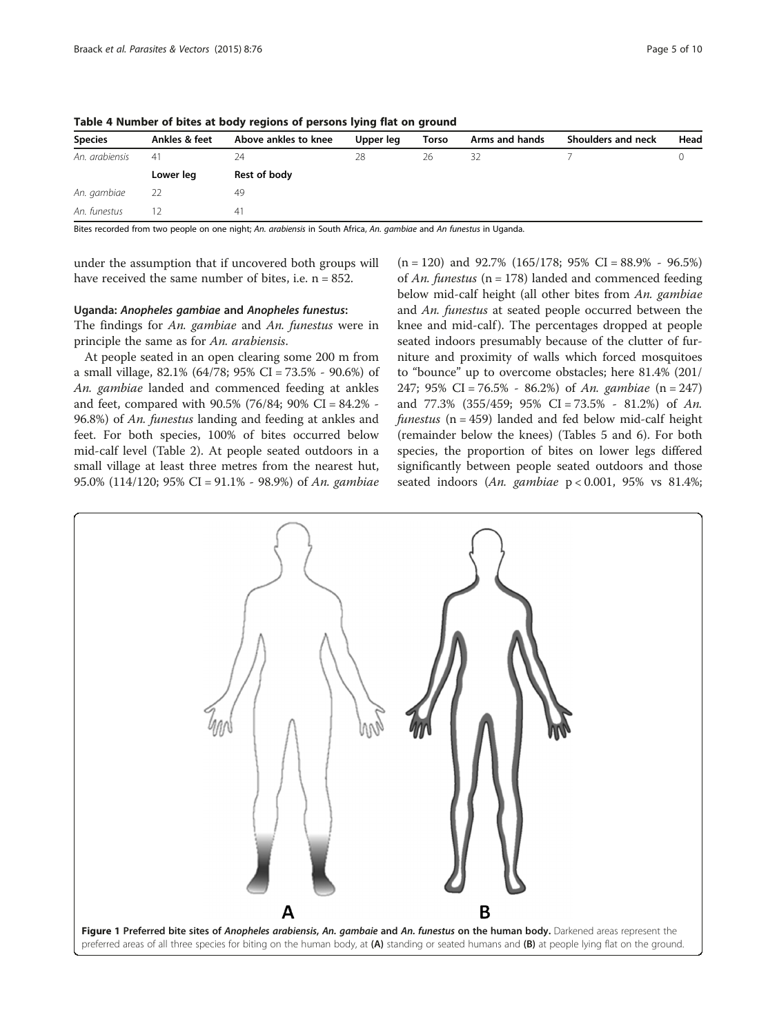| <b>Species</b> | Ankles & feet | Above ankles to knee | Upper leg | Torso | Arms and hands | Shoulders and neck | Head |
|----------------|---------------|----------------------|-----------|-------|----------------|--------------------|------|
| An. arabiensis | 41            | 24                   | 28        | 26    | 32             |                    |      |
|                | Lower leg     | Rest of body         |           |       |                |                    |      |
| An. gambiae    | 22            | 49                   |           |       |                |                    |      |
| An. funestus   |               | 41                   |           |       |                |                    |      |

<span id="page-4-0"></span>Table 4 Number of bites at body regions of persons lying flat on ground

Bites recorded from two people on one night; An. arabiensis in South Africa, An. gambiae and An funestus in Uganda.

under the assumption that if uncovered both groups will have received the same number of bites, i.e.  $n = 852$ .

#### Uganda: Anopheles gambiae and Anopheles funestus:

The findings for An. gambiae and An. funestus were in principle the same as for An. arabiensis.

At people seated in an open clearing some 200 m from a small village, 82.1% (64/78; 95% CI = 73.5% - 90.6%) of An. gambiae landed and commenced feeding at ankles and feet, compared with 90.5% (76/84; 90% CI = 84.2% - 96.8%) of An. funestus landing and feeding at ankles and feet. For both species, 100% of bites occurred below mid-calf level (Table [2\)](#page-2-0). At people seated outdoors in a small village at least three metres from the nearest hut, 95.0% (114/120; 95% CI = 91.1% - 98.9%) of An. gambiae

 $(n = 120)$  and 92.7%  $(165/178; 95\% \text{ CI} = 88.9\% - 96.5\%)$ of An. funestus ( $n = 178$ ) landed and commenced feeding below mid-calf height (all other bites from An. gambiae and An. funestus at seated people occurred between the knee and mid-calf). The percentages dropped at people seated indoors presumably because of the clutter of furniture and proximity of walls which forced mosquitoes to "bounce" up to overcome obstacles; here 81.4% (201/ 247; 95% CI = 76.5% - 86.2%) of An. gambiae  $(n = 247)$ and 77.3% (355/459; 95% CI = 73.5% - 81.2%) of An. funestus ( $n = 459$ ) landed and fed below mid-calf height (remainder below the knees) (Tables [5](#page-5-0) and [6](#page-5-0)). For both species, the proportion of bites on lower legs differed significantly between people seated outdoors and those seated indoors (An. gambiae  $p < 0.001$ , 95% vs 81.4%;

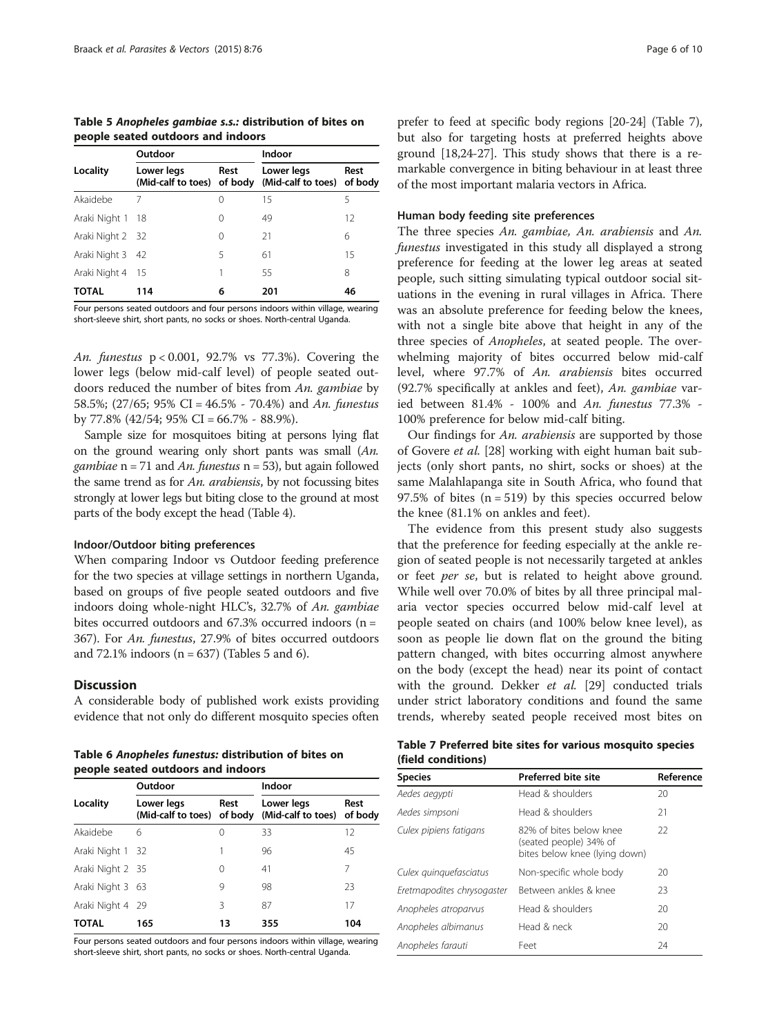<span id="page-5-0"></span>Table 5 Anopheles gambiae s.s.: distribution of bites on people seated outdoors and indoors

|                  | Outdoor                                  |          | Indoor                                   |      |  |  |
|------------------|------------------------------------------|----------|------------------------------------------|------|--|--|
| Locality         | Lower legs<br>(Mid-calf to toes) of body | Rest     | Lower legs<br>(Mid-calf to toes) of body | Rest |  |  |
| Akaidebe         | 7                                        | 0        | 15                                       | 5    |  |  |
| Araki Night 1    | - 18                                     | 0        | 49                                       | 12   |  |  |
| Araki Night 2 32 |                                          | $\Omega$ | 21                                       | 6    |  |  |
| Araki Night 3 42 |                                          | 5        | 61                                       | 15   |  |  |
| Araki Night 4    | - 15                                     | 1        | 55                                       | 8    |  |  |
| <b>TOTAL</b>     | 114                                      | 6        | 201                                      | 46   |  |  |

Four persons seated outdoors and four persons indoors within village, wearing short-sleeve shirt, short pants, no socks or shoes. North-central Uganda.

An. funestus p < 0.001, 92.7% vs 77.3%). Covering the lower legs (below mid-calf level) of people seated outdoors reduced the number of bites from An. gambiae by 58.5%; (27/65; 95% CI = 46.5% - 70.4%) and An. funestus by 77.8% (42/54; 95% CI = 66.7% - 88.9%).

Sample size for mosquitoes biting at persons lying flat on the ground wearing only short pants was small (An. *gambiae*  $n = 71$  and An. funestus  $n = 53$ , but again followed the same trend as for An. arabiensis, by not focussing bites strongly at lower legs but biting close to the ground at most parts of the body except the head (Table [4\)](#page-4-0).

#### Indoor/Outdoor biting preferences

When comparing Indoor vs Outdoor feeding preference for the two species at village settings in northern Uganda, based on groups of five people seated outdoors and five indoors doing whole-night HLC's, 32.7% of An. gambiae bites occurred outdoors and 67.3% occurred indoors (n = 367). For An. funestus, 27.9% of bites occurred outdoors and  $72.1\%$  indoors (n = 637) (Tables 5 and 6).

#### **Discussion**

A considerable body of published work exists providing evidence that not only do different mosquito species often

Table 6 Anopheles funestus: distribution of bites on people seated outdoors and indoors

|                  | Outdoor                                  |      | Indoor                                   |      |  |  |
|------------------|------------------------------------------|------|------------------------------------------|------|--|--|
| Locality         | Lower legs<br>(Mid-calf to toes) of body | Rest | Lower legs<br>(Mid-calf to toes) of body | Rest |  |  |
| Akaidebe         | 6                                        | 0    | 33                                       | 12   |  |  |
| Araki Night 1 32 |                                          |      | 96                                       | 45   |  |  |
| Araki Night 2 35 |                                          | 0    | 41                                       | 7    |  |  |
| Araki Night 3 63 |                                          | 9    | 98                                       | 23   |  |  |
| Araki Night 4 29 |                                          | 3    | 87                                       | 17   |  |  |
| <b>TOTAL</b>     | 165                                      | 13   | 355                                      | 104  |  |  |

Four persons seated outdoors and four persons indoors within village, wearing short-sleeve shirt, short pants, no socks or shoes. North-central Uganda.

prefer to feed at specific body regions [[20-24\]](#page-8-0) (Table 7), but also for targeting hosts at preferred heights above ground [\[18,24-27\]](#page-8-0). This study shows that there is a remarkable convergence in biting behaviour in at least three of the most important malaria vectors in Africa.

## Human body feeding site preferences

The three species An. gambiae, An. arabiensis and An. funestus investigated in this study all displayed a strong preference for feeding at the lower leg areas at seated people, such sitting simulating typical outdoor social situations in the evening in rural villages in Africa. There was an absolute preference for feeding below the knees, with not a single bite above that height in any of the three species of Anopheles, at seated people. The overwhelming majority of bites occurred below mid-calf level, where 97.7% of An. arabiensis bites occurred (92.7% specifically at ankles and feet), An. gambiae varied between 81.4% - 100% and An. funestus 77.3% - 100% preference for below mid-calf biting.

Our findings for An. arabiensis are supported by those of Govere et al. [[28](#page-8-0)] working with eight human bait subjects (only short pants, no shirt, socks or shoes) at the same Malahlapanga site in South Africa, who found that 97.5% of bites  $(n = 519)$  by this species occurred below the knee (81.1% on ankles and feet).

The evidence from this present study also suggests that the preference for feeding especially at the ankle region of seated people is not necessarily targeted at ankles or feet *per se*, but is related to height above ground. While well over 70.0% of bites by all three principal malaria vector species occurred below mid-calf level at people seated on chairs (and 100% below knee level), as soon as people lie down flat on the ground the biting pattern changed, with bites occurring almost anywhere on the body (except the head) near its point of contact with the ground. Dekker *et al.* [\[29](#page-8-0)] conducted trials under strict laboratory conditions and found the same trends, whereby seated people received most bites on

| Table 7 Preferred bite sites for various mosquito species |  |  |  |
|-----------------------------------------------------------|--|--|--|
| (field conditions)                                        |  |  |  |

| <b>Species</b>             | <b>Preferred bite site</b>                                                         | Reference |
|----------------------------|------------------------------------------------------------------------------------|-----------|
| Aedes aegypti              | Head & shoulders                                                                   | 20        |
| Aedes simpsoni             | Head & shoulders                                                                   | 21        |
| Culex pipiens fatigans     | 82% of bites below knee<br>(seated people) 34% of<br>bites below knee (lying down) | 22        |
| Culex quinquefasciatus     | Non-specific whole body                                                            | 20        |
| Eretmapodites chrysogaster | Between ankles & knee                                                              | 23        |
| Anopheles atroparvus       | Head & shoulders                                                                   | 20        |
| Anopheles albimanus        | Head & neck                                                                        | 20        |
| Anopheles farauti          | Feet                                                                               | 24        |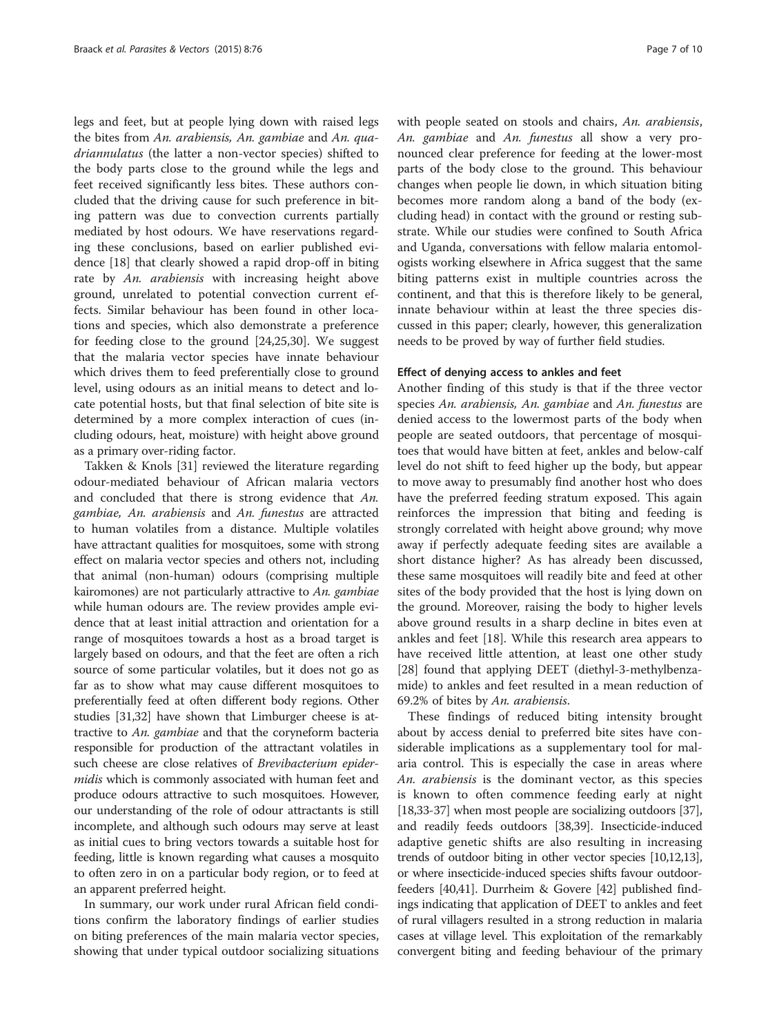legs and feet, but at people lying down with raised legs the bites from An. arabiensis, An. gambiae and An. quadriannulatus (the latter a non-vector species) shifted to the body parts close to the ground while the legs and feet received significantly less bites. These authors concluded that the driving cause for such preference in biting pattern was due to convection currents partially mediated by host odours. We have reservations regarding these conclusions, based on earlier published evidence [\[18\]](#page-8-0) that clearly showed a rapid drop-off in biting rate by An. arabiensis with increasing height above ground, unrelated to potential convection current effects. Similar behaviour has been found in other locations and species, which also demonstrate a preference for feeding close to the ground [\[24,25,30](#page-8-0)]. We suggest that the malaria vector species have innate behaviour which drives them to feed preferentially close to ground level, using odours as an initial means to detect and locate potential hosts, but that final selection of bite site is determined by a more complex interaction of cues (including odours, heat, moisture) with height above ground as a primary over-riding factor.

Takken & Knols [[31](#page-9-0)] reviewed the literature regarding odour-mediated behaviour of African malaria vectors and concluded that there is strong evidence that An. gambiae, An. arabiensis and An. funestus are attracted to human volatiles from a distance. Multiple volatiles have attractant qualities for mosquitoes, some with strong effect on malaria vector species and others not, including that animal (non-human) odours (comprising multiple kairomones) are not particularly attractive to An. gambiae while human odours are. The review provides ample evidence that at least initial attraction and orientation for a range of mosquitoes towards a host as a broad target is largely based on odours, and that the feet are often a rich source of some particular volatiles, but it does not go as far as to show what may cause different mosquitoes to preferentially feed at often different body regions. Other studies [[31,32\]](#page-9-0) have shown that Limburger cheese is attractive to An. gambiae and that the coryneform bacteria responsible for production of the attractant volatiles in such cheese are close relatives of *Brevibacterium epider*midis which is commonly associated with human feet and produce odours attractive to such mosquitoes. However, our understanding of the role of odour attractants is still incomplete, and although such odours may serve at least as initial cues to bring vectors towards a suitable host for feeding, little is known regarding what causes a mosquito to often zero in on a particular body region, or to feed at an apparent preferred height.

In summary, our work under rural African field conditions confirm the laboratory findings of earlier studies on biting preferences of the main malaria vector species, showing that under typical outdoor socializing situations with people seated on stools and chairs, An. arabiensis, An. gambiae and An. funestus all show a very pronounced clear preference for feeding at the lower-most parts of the body close to the ground. This behaviour changes when people lie down, in which situation biting becomes more random along a band of the body (excluding head) in contact with the ground or resting substrate. While our studies were confined to South Africa and Uganda, conversations with fellow malaria entomologists working elsewhere in Africa suggest that the same biting patterns exist in multiple countries across the continent, and that this is therefore likely to be general, innate behaviour within at least the three species discussed in this paper; clearly, however, this generalization needs to be proved by way of further field studies.

#### Effect of denying access to ankles and feet

Another finding of this study is that if the three vector species An. arabiensis, An. gambiae and An. funestus are denied access to the lowermost parts of the body when people are seated outdoors, that percentage of mosquitoes that would have bitten at feet, ankles and below-calf level do not shift to feed higher up the body, but appear to move away to presumably find another host who does have the preferred feeding stratum exposed. This again reinforces the impression that biting and feeding is strongly correlated with height above ground; why move away if perfectly adequate feeding sites are available a short distance higher? As has already been discussed, these same mosquitoes will readily bite and feed at other sites of the body provided that the host is lying down on the ground. Moreover, raising the body to higher levels above ground results in a sharp decline in bites even at ankles and feet [\[18](#page-8-0)]. While this research area appears to have received little attention, at least one other study [[28\]](#page-8-0) found that applying DEET (diethyl-3-methylbenzamide) to ankles and feet resulted in a mean reduction of 69.2% of bites by An. arabiensis.

These findings of reduced biting intensity brought about by access denial to preferred bite sites have considerable implications as a supplementary tool for malaria control. This is especially the case in areas where An. arabiensis is the dominant vector, as this species is known to often commence feeding early at night [[18](#page-8-0)[,33](#page-9-0)-[37](#page-9-0)] when most people are socializing outdoors [[37](#page-9-0)], and readily feeds outdoors [\[38,39\]](#page-9-0). Insecticide-induced adaptive genetic shifts are also resulting in increasing trends of outdoor biting in other vector species [\[10,12,13](#page-8-0)], or where insecticide-induced species shifts favour outdoorfeeders [[40,41](#page-9-0)]. Durrheim & Govere [\[42\]](#page-9-0) published findings indicating that application of DEET to ankles and feet of rural villagers resulted in a strong reduction in malaria cases at village level. This exploitation of the remarkably convergent biting and feeding behaviour of the primary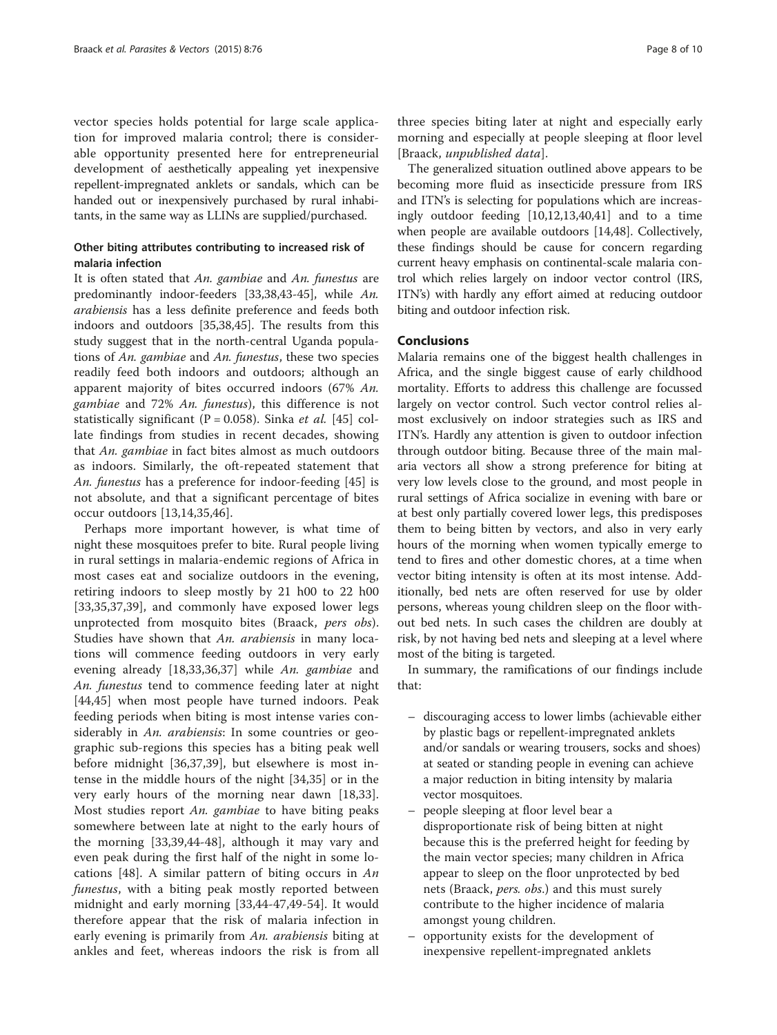vector species holds potential for large scale application for improved malaria control; there is considerable opportunity presented here for entrepreneurial development of aesthetically appealing yet inexpensive repellent-impregnated anklets or sandals, which can be handed out or inexpensively purchased by rural inhabitants, in the same way as LLINs are supplied/purchased.

# Other biting attributes contributing to increased risk of malaria infection

It is often stated that An. gambiae and An. funestus are predominantly indoor-feeders [[33](#page-9-0),[38](#page-9-0),[43](#page-9-0)-[45\]](#page-9-0), while An. arabiensis has a less definite preference and feeds both indoors and outdoors [[35,38,45\]](#page-9-0). The results from this study suggest that in the north-central Uganda populations of An. gambiae and An. funestus, these two species readily feed both indoors and outdoors; although an apparent majority of bites occurred indoors (67% An. gambiae and 72% An. funestus), this difference is not statistically significant (P = 0.058). Sinka *et al.* [[45\]](#page-9-0) collate findings from studies in recent decades, showing that An. gambiae in fact bites almost as much outdoors as indoors. Similarly, the oft-repeated statement that An. funestus has a preference for indoor-feeding [\[45](#page-9-0)] is not absolute, and that a significant percentage of bites occur outdoors [\[13](#page-8-0),[14,](#page-8-0)[35,46](#page-9-0)].

Perhaps more important however, is what time of night these mosquitoes prefer to bite. Rural people living in rural settings in malaria-endemic regions of Africa in most cases eat and socialize outdoors in the evening, retiring indoors to sleep mostly by 21 h00 to 22 h00 [[33,35,37](#page-9-0),[39\]](#page-9-0), and commonly have exposed lower legs unprotected from mosquito bites (Braack, pers obs). Studies have shown that An. arabiensis in many locations will commence feeding outdoors in very early evening already [\[18](#page-8-0),[33,36,37](#page-9-0)] while An. gambiae and An. funestus tend to commence feeding later at night [[44,45](#page-9-0)] when most people have turned indoors. Peak feeding periods when biting is most intense varies considerably in An. arabiensis: In some countries or geographic sub-regions this species has a biting peak well before midnight [\[36](#page-9-0),[37,39\]](#page-9-0), but elsewhere is most intense in the middle hours of the night [[34,35](#page-9-0)] or in the very early hours of the morning near dawn [[18,](#page-8-0)[33](#page-9-0)]. Most studies report An. gambiae to have biting peaks somewhere between late at night to the early hours of the morning [[33,39,44-48](#page-9-0)], although it may vary and even peak during the first half of the night in some lo-cations [[48\]](#page-9-0). A similar pattern of biting occurs in  $An$ funestus, with a biting peak mostly reported between midnight and early morning [[33,44-47,49-54](#page-9-0)]. It would therefore appear that the risk of malaria infection in early evening is primarily from An. arabiensis biting at ankles and feet, whereas indoors the risk is from all three species biting later at night and especially early morning and especially at people sleeping at floor level [Braack, unpublished data].

The generalized situation outlined above appears to be becoming more fluid as insecticide pressure from IRS and ITN's is selecting for populations which are increasingly outdoor feeding [[10,12,13,](#page-8-0)[40](#page-9-0),[41](#page-9-0)] and to a time when people are available outdoors [\[14](#page-8-0)[,48](#page-9-0)]. Collectively, these findings should be cause for concern regarding current heavy emphasis on continental-scale malaria control which relies largely on indoor vector control (IRS, ITN's) with hardly any effort aimed at reducing outdoor biting and outdoor infection risk.

## Conclusions

Malaria remains one of the biggest health challenges in Africa, and the single biggest cause of early childhood mortality. Efforts to address this challenge are focussed largely on vector control. Such vector control relies almost exclusively on indoor strategies such as IRS and ITN's. Hardly any attention is given to outdoor infection through outdoor biting. Because three of the main malaria vectors all show a strong preference for biting at very low levels close to the ground, and most people in rural settings of Africa socialize in evening with bare or at best only partially covered lower legs, this predisposes them to being bitten by vectors, and also in very early hours of the morning when women typically emerge to tend to fires and other domestic chores, at a time when vector biting intensity is often at its most intense. Additionally, bed nets are often reserved for use by older persons, whereas young children sleep on the floor without bed nets. In such cases the children are doubly at risk, by not having bed nets and sleeping at a level where most of the biting is targeted.

In summary, the ramifications of our findings include that:

- discouraging access to lower limbs (achievable either by plastic bags or repellent-impregnated anklets and/or sandals or wearing trousers, socks and shoes) at seated or standing people in evening can achieve a major reduction in biting intensity by malaria vector mosquitoes.
- people sleeping at floor level bear a disproportionate risk of being bitten at night because this is the preferred height for feeding by the main vector species; many children in Africa appear to sleep on the floor unprotected by bed nets (Braack, pers. obs.) and this must surely contribute to the higher incidence of malaria amongst young children.
- opportunity exists for the development of inexpensive repellent-impregnated anklets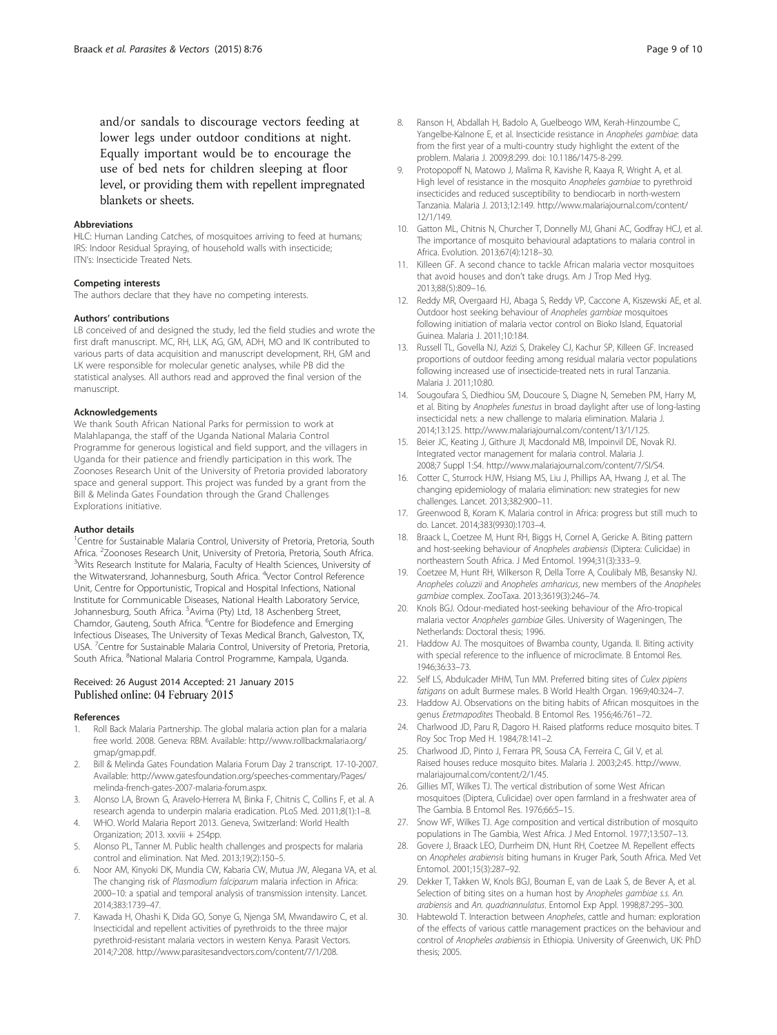<span id="page-8-0"></span>and/or sandals to discourage vectors feeding at lower legs under outdoor conditions at night. Equally important would be to encourage the use of bed nets for children sleeping at floor level, or providing them with repellent impregnated blankets or sheets.

#### **Abbreviations**

HLC: Human Landing Catches, of mosquitoes arriving to feed at humans; IRS: Indoor Residual Spraying, of household walls with insecticide; ITN's: Insecticide Treated Nets.

#### Competing interests

The authors declare that they have no competing interests.

#### Authors' contributions

LB conceived of and designed the study, led the field studies and wrote the first draft manuscript. MC, RH, LLK, AG, GM, ADH, MO and IK contributed to various parts of data acquisition and manuscript development, RH, GM and LK were responsible for molecular genetic analyses, while PB did the statistical analyses. All authors read and approved the final version of the manuscript.

#### Acknowledgements

We thank South African National Parks for permission to work at Malahlapanga, the staff of the Uganda National Malaria Control Programme for generous logistical and field support, and the villagers in Uganda for their patience and friendly participation in this work. The Zoonoses Research Unit of the University of Pretoria provided laboratory space and general support. This project was funded by a grant from the Bill & Melinda Gates Foundation through the Grand Challenges Explorations initiative.

#### Author details

<sup>1</sup> Centre for Sustainable Malaria Control, University of Pretoria, Pretoria, South Africa. <sup>2</sup> Zoonoses Research Unit, University of Pretoria, Pretoria, South Africa.<br><sup>3</sup> Mits Besearch Institute for Malaria. Eaculty of Health Sciences, University of <sup>3</sup>Wits Research Institute for Malaria, Faculty of Health Sciences, University of the Witwatersrand, Johannesburg, South Africa. <sup>4</sup>Vector Control Reference Unit, Centre for Opportunistic, Tropical and Hospital Infections, National Institute for Communicable Diseases, National Health Laboratory Service, Johannesburg, South Africa. <sup>5</sup>Avima (Pty) Ltd, 18 Aschenberg Street, Chamdor, Gauteng, South Africa. <sup>6</sup>Centre for Biodefence and Emerging Infectious Diseases, The University of Texas Medical Branch, Galveston, TX, USA.<sup>7</sup> Centre for Sustainable Malaria Control, University of Pretoria, Pretoria, South Africa. <sup>8</sup>National Malaria Control Programme, Kampala, Uganda.

#### Received: 26 August 2014 Accepted: 21 January 2015 Published online: 04 February 2015

#### References

- 1. Roll Back Malaria Partnership. The global malaria action plan for a malaria free world. 2008. Geneva: RBM. Available: [http://www.rollbackmalaria.org/](http://www.rollbackmalaria.org/gmap/gmap.pdf) [gmap/gmap.pdf](http://www.rollbackmalaria.org/gmap/gmap.pdf).
- 2. Bill & Melinda Gates Foundation Malaria Forum Day 2 transcript. 17-10-2007. Available: [http://www.gatesfoundation.org/speeches-commentary/Pages/](http://www.gatesfoundation.org/speeches-commentary/Pages/melinda-french-gates-2007-malaria-forum.aspx) [melinda-french-gates-2007-malaria-forum.aspx](http://www.gatesfoundation.org/speeches-commentary/Pages/melinda-french-gates-2007-malaria-forum.aspx).
- 3. Alonso LA, Brown G, Aravelo-Herrera M, Binka F, Chitnis C, Collins F, et al. A research agenda to underpin malaria eradication. PLoS Med. 2011;8(1):1–8.
- 4. WHO. World Malaria Report 2013. Geneva, Switzerland: World Health Organization; 2013. xxviii + 254pp.
- 5. Alonso PL, Tanner M. Public health challenges and prospects for malaria control and elimination. Nat Med. 2013;19(2):150–5.
- 6. Noor AM, Kinyoki DK, Mundia CW, Kabaria CW, Mutua JW, Alegana VA, et al. The changing risk of Plasmodium falciparum malaria infection in Africa: 2000–10: a spatial and temporal analysis of transmission intensity. Lancet. 2014;383:1739–47.
- Kawada H, Ohashi K, Dida GO, Sonye G, Njenga SM, Mwandawiro C, et al. Insecticidal and repellent activities of pyrethroids to the three major pyrethroid-resistant malaria vectors in western Kenya. Parasit Vectors. 2014;7:208. [http://www.parasitesandvectors.com/content/7/1/208.](http://www.parasitesandvectors.com/content/7/1/208)
- Ranson H, Abdallah H, Badolo A, Guelbeogo WM, Kerah-Hinzoumbe C, Yangelbe-Kalnone E, et al. Insecticide resistance in Anopheles gambiae: data from the first year of a multi-country study highlight the extent of the problem. Malaria J. 2009;8:299. doi: 10.1186/1475-8-299.
- 9. Protopopoff N, Matowo J, Malima R, Kavishe R, Kaaya R, Wright A, et al. High level of resistance in the mosquito Anopheles gambiae to pyrethroid insecticides and reduced susceptibility to bendiocarb in north-western Tanzania. Malaria J. 2013;12:149. [http://www.malariajournal.com/content/](http://www.malariajournal.com/content/12/1/149) [12/1/149](http://www.malariajournal.com/content/12/1/149).
- 10. Gatton ML, Chitnis N, Churcher T, Donnelly MJ, Ghani AC, Godfray HCJ, et al. The importance of mosquito behavioural adaptations to malaria control in Africa. Evolution. 2013;67(4):1218–30.
- 11. Killeen GF. A second chance to tackle African malaria vector mosquitoes that avoid houses and don't take drugs. Am J Trop Med Hyg. 2013;88(5):809–16.
- 12. Reddy MR, Overgaard HJ, Abaga S, Reddy VP, Caccone A, Kiszewski AE, et al. Outdoor host seeking behaviour of Anopheles gambiae mosquitoes following initiation of malaria vector control on Bioko Island, Equatorial Guinea. Malaria J. 2011;10:184.
- 13. Russell TL, Govella NJ, Azizi S, Drakeley CJ, Kachur SP, Killeen GF. Increased proportions of outdoor feeding among residual malaria vector populations following increased use of insecticide-treated nets in rural Tanzania. Malaria J. 2011;10:80.
- 14. Sougoufara S, Diedhiou SM, Doucoure S, Diagne N, Semeben PM, Harry M, et al. Biting by Anopheles funestus in broad daylight after use of long-lasting insecticidal nets: a new challenge to malaria elimination. Malaria J. 2014;13:125. [http://www.malariajournal.com/content/13/1/125.](http://www.malariajournal.com/content/13/1/125)
- 15. Beier JC, Keating J, Githure JI, Macdonald MB, Impoinvil DE, Novak RJ. Integrated vector management for malaria control. Malaria J. 2008;7 Suppl 1:S4.<http://www.malariajournal.com/content/7/SI/S4>.
- 16. Cotter C, Sturrock HJW, Hsiang MS, Liu J, Phillips AA, Hwang J, et al. The changing epidemiology of malaria elimination: new strategies for new challenges. Lancet. 2013;382:900–11.
- 17. Greenwood B, Koram K. Malaria control in Africa: progress but still much to do. Lancet. 2014;383(9930):1703–4.
- 18. Braack L, Coetzee M, Hunt RH, Biggs H, Cornel A, Gericke A. Biting pattern and host-seeking behaviour of Anopheles arabiensis (Diptera: Culicidae) in northeastern South Africa. J Med Entomol. 1994;31(3):333–9.
- 19. Coetzee M, Hunt RH, Wilkerson R, Della Torre A, Coulibaly MB, Besansky NJ. Anopheles coluzzii and Anopheles amharicus, new members of the Anopheles gambiae complex. ZooTaxa. 2013;3619(3):246–74.
- 20. Knols BGJ. Odour-mediated host-seeking behaviour of the Afro-tropical malaria vector Anopheles gambiae Giles. University of Wageningen, The Netherlands: Doctoral thesis; 1996.
- 21. Haddow AJ. The mosquitoes of Bwamba county, Uganda. II. Biting activity with special reference to the influence of microclimate. B Entomol Res. 1946;36:33–73.
- 22. Self LS, Abdulcader MHM, Tun MM. Preferred biting sites of Culex pipiens fatigans on adult Burmese males. B World Health Organ. 1969;40:324–7.
- 23. Haddow AJ. Observations on the biting habits of African mosquitoes in the genus Eretmapodites Theobald. B Entomol Res. 1956;46:761–72.
- 24. Charlwood JD, Paru R, Dagoro H. Raised platforms reduce mosquito bites. T Roy Soc Trop Med H. 1984;78:141–2.
- 25. Charlwood JD, Pinto J, Ferrara PR, Sousa CA, Ferreira C, Gil V, et al. Raised houses reduce mosquito bites. Malaria J. 2003;2:45. [http://www.](http://www.malariajournal.com/content/2/1/45) [malariajournal.com/content/2/1/45](http://www.malariajournal.com/content/2/1/45).
- 26. Gillies MT, Wilkes TJ. The vertical distribution of some West African mosquitoes (Diptera, Culicidae) over open farmland in a freshwater area of The Gambia. B Entomol Res. 1976;66:5–15.
- 27. Snow WF, Wilkes TJ. Age composition and vertical distribution of mosquito populations in The Gambia, West Africa. J Med Entomol. 1977;13:507–13.
- 28. Govere J, Braack LEO, Durrheim DN, Hunt RH, Coetzee M. Repellent effects on Anopheles arabiensis biting humans in Kruger Park, South Africa. Med Vet Entomol. 2001;15(3):287–92.
- 29. Dekker T, Takken W, Knols BGJ, Bouman E, van de Laak S, de Bever A, et al. Selection of biting sites on a human host by Anopheles gambiae s.s. An. arabiensis and An. quadriannulatus. Entomol Exp Appl. 1998;87:295–300.
- 30. Habtewold T. Interaction between Anopheles, cattle and human: exploration of the effects of various cattle management practices on the behaviour and control of Anopheles arabiensis in Ethiopia. University of Greenwich, UK: PhD thesis; 2005.